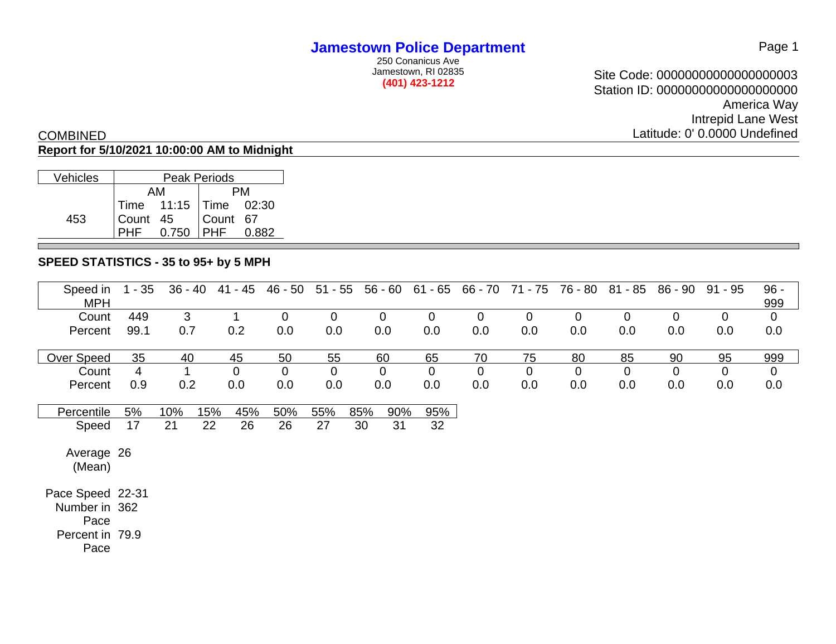250 Conanicus Ave Jamestown, RI 02835 **(401) 423-1212**

Site Code: 00000000000000000003 Station ID: 00000000000000000000 America Way Intrepid Lane West Latitude: 0' 0.0000 Undefined

#### COMBINED **Report for 5/10/2021 10:00:00 AM to Midnight**

| Vehicles | <b>Peak Periods</b> |                                  |            |  |  |  |  |  |  |  |  |
|----------|---------------------|----------------------------------|------------|--|--|--|--|--|--|--|--|
|          |                     | AМ                               | PМ         |  |  |  |  |  |  |  |  |
|          |                     | $\sqrt{7}$ Time 11:15 Time 02:30 |            |  |  |  |  |  |  |  |  |
| 453      | Count 45            |                                  | Count 67   |  |  |  |  |  |  |  |  |
|          |                     | 0.750                            | <b>PHF</b> |  |  |  |  |  |  |  |  |

### **SPEED STATISTICS - 35 to 95+ by 5 MPH**

| Speed in<br><b>MPH</b> | $1 - 35$ | $36 - 40$ | 41 - 45     | 46 - 50     | $51 - 55$   | $56 - 60$   | $61 - 65$   | 66 - 70     | 71 - 75     | 76 - 80     | 81 - 85     | 86 - 90        | 91 - 95     | $96 -$<br>999 |
|------------------------|----------|-----------|-------------|-------------|-------------|-------------|-------------|-------------|-------------|-------------|-------------|----------------|-------------|---------------|
| Count                  | 449      | 3         |             | $\mathbf 0$ | $\mathbf 0$ | 0           | $\mathbf 0$ | $\mathbf 0$ | $\mathbf 0$ | $\mathbf 0$ | $\mathbf 0$ | $\overline{0}$ | $\mathbf 0$ | $\mathbf 0$   |
| Percent                | 99.1     | 0.7       | 0.2         | 0.0         | 0.0         | 0.0         | 0.0         | 0.0         | 0.0         | 0.0         | 0.0         | 0.0            | 0.0         | 0.0           |
| Over Speed             | 35       | 40        | 45          | 50          | 55          | 60          | 65          | 70          | 75          | 80          | 85          | 90             | 95          | 999           |
| Count                  | 4        | 1         | $\mathbf 0$ | $\mathbf 0$ | $\mathbf 0$ | $\mathbf 0$ | $\mathbf 0$ | $\mathbf 0$ | $\mathbf 0$ | $\mathbf 0$ | $\mathbf 0$ | $\mathbf 0$    | $\mathbf 0$ | $\mathbf 0$   |
| Percent                | 0.9      | 0.2       | 0.0         | 0.0         | 0.0         | 0.0         | 0.0         | 0.0         | 0.0         | 0.0         | 0.0         | 0.0            | 0.0         | 0.0           |
| Percentile             | 5%       | 10%       | 15%<br>45%  | 50%         | 55%         | 85%<br>90%  | 95%         |             |             |             |             |                |             |               |
| Speed                  | 17       | 21        | 22<br>26    | 26          | 27          | 30<br>31    | 32          |             |             |             |             |                |             |               |
| Average 26<br>(Mean)   |          |           |             |             |             |             |             |             |             |             |             |                |             |               |
| Pace Speed 22-31       |          |           |             |             |             |             |             |             |             |             |             |                |             |               |
| Number in 362          |          |           |             |             |             |             |             |             |             |             |             |                |             |               |
| Pace                   |          |           |             |             |             |             |             |             |             |             |             |                |             |               |
| Percent in 79.9        |          |           |             |             |             |             |             |             |             |             |             |                |             |               |
| Pace                   |          |           |             |             |             |             |             |             |             |             |             |                |             |               |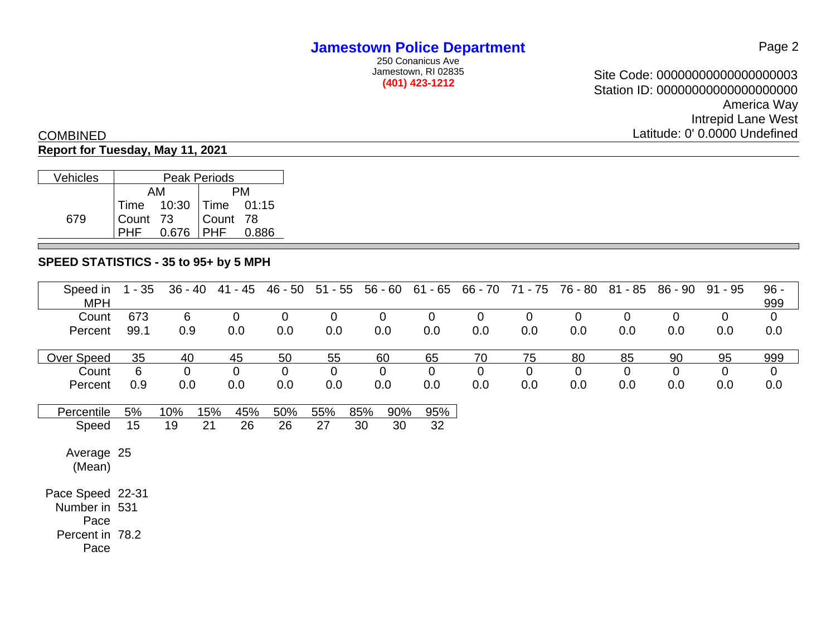250 Conanicus Ave Jamestown, RI 02835 **(401) 423-1212**

Site Code: 00000000000000000003 Station ID: 00000000000000000000 America Way Intrepid Lane West Latitude: 0' 0.0000 Undefined

## COMBINED

### **Report for Tuesday, May 11, 2021**

| <b>Vehicles</b> | Peak Periods                               |  |       |  |  |  |  |  |  |  |
|-----------------|--------------------------------------------|--|-------|--|--|--|--|--|--|--|
|                 | AМ                                         |  | PМ    |  |  |  |  |  |  |  |
|                 | Time 10:30 Time 01:15<br>Count 73 Count 78 |  |       |  |  |  |  |  |  |  |
| 679             |                                            |  |       |  |  |  |  |  |  |  |
|                 | $0.676$ PHF                                |  | 0.886 |  |  |  |  |  |  |  |

### **SPEED STATISTICS - 35 to 95+ by 5 MPH**

| Speed in<br><b>MPH</b> | $1 - 35$ | $36 - 40$   | 41 - 45     | 46 - 50     | $51 - 55$   | $56 - 60$   | 61 - 65        | 66 - 70     | 71 - 75     | 76 - 80        | $81 - 85$      | $86 - 90$      | 91 - 95     | $96 -$<br>999  |
|------------------------|----------|-------------|-------------|-------------|-------------|-------------|----------------|-------------|-------------|----------------|----------------|----------------|-------------|----------------|
| Count                  | 673      | 6           | $\mathbf 0$ | $\mathbf 0$ | $\mathbf 0$ | 0           | $\overline{0}$ | $\mathbf 0$ | $\mathbf 0$ | $\overline{0}$ | $\overline{0}$ | $\overline{0}$ | $\mathbf 0$ | $\mathbf 0$    |
| Percent                | 99.1     | 0.9         | 0.0         | 0.0         | 0.0         | 0.0         | 0.0            | 0.0         | 0.0         | 0.0            | 0.0            | 0.0            | 0.0         | 0.0            |
| Over Speed             | 35       | 40          | 45          | 50          | 55          | 60          | 65             | 70          | 75          | 80             | 85             | 90             | 95          | 999            |
| Count                  | 6        | $\mathbf 0$ | $\mathbf 0$ | $\mathbf 0$ | $\mathbf 0$ | $\mathbf 0$ | $\mathbf 0$    | $\mathbf 0$ | $\mathbf 0$ | $\mathbf 0$    | $\mathbf 0$    | $\mathbf 0$    | $\mathbf 0$ | $\overline{0}$ |
| Percent                | 0.9      | 0.0         | 0.0         | 0.0         | 0.0         | 0.0         | 0.0            | 0.0         | 0.0         | 0.0            | 0.0            | 0.0            | 0.0         | 0.0            |
| Percentile             | 5%       | 10%         | 15%<br>45%  | 50%         | 55%         | 85%<br>90%  | 95%            |             |             |                |                |                |             |                |
| Speed                  | 15       | 19          | 21<br>26    | 26          | 27          | 30<br>30    | 32             |             |             |                |                |                |             |                |
| Average 25<br>(Mean)   |          |             |             |             |             |             |                |             |             |                |                |                |             |                |
| Pace Speed 22-31       |          |             |             |             |             |             |                |             |             |                |                |                |             |                |
| Number in 531          |          |             |             |             |             |             |                |             |             |                |                |                |             |                |
| Pace                   |          |             |             |             |             |             |                |             |             |                |                |                |             |                |
| Percent in 78.2        |          |             |             |             |             |             |                |             |             |                |                |                |             |                |
| Pace                   |          |             |             |             |             |             |                |             |             |                |                |                |             |                |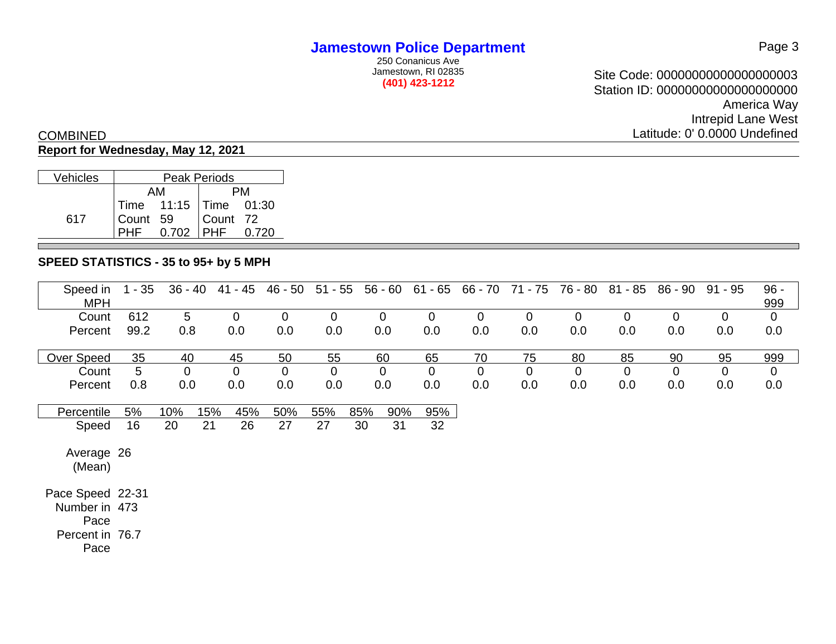250 Conanicus Ave Jamestown, RI 02835 **(401) 423-1212**

Site Code: 00000000000000000003 Station ID: 00000000000000000000 America Way Intrepid Lane West Latitude: 0' 0.0000 Undefined

# COMBINED

### **Report for Wednesday, May 12, 2021**

| Vehicles | Peak Periods |                                                                  |  |  |  |  |  |  |  |  |  |
|----------|--------------|------------------------------------------------------------------|--|--|--|--|--|--|--|--|--|
|          |              | AМ                                                               |  |  |  |  |  |  |  |  |  |
|          |              |                                                                  |  |  |  |  |  |  |  |  |  |
| 617      |              |                                                                  |  |  |  |  |  |  |  |  |  |
|          |              | Time 11:15 Time 01:30<br>Count 59 Count 72<br>PHF 0.702 PHF 0.72 |  |  |  |  |  |  |  |  |  |

### **SPEED STATISTICS - 35 to 95+ by 5 MPH**

| Speed in<br><b>MPH</b> | $1 - 35$ | $36 - 40$      |     | 41 - 45        | 46 - 50     | $51 - 55$   | $56 - 60$  | $61 - 65$      | 66 - 70        | 71 - 75     | 76 - 80     | $81 - 85$   | 86 - 90     | $91 - 95$   | $96 -$<br>999  |
|------------------------|----------|----------------|-----|----------------|-------------|-------------|------------|----------------|----------------|-------------|-------------|-------------|-------------|-------------|----------------|
| Count                  | 612      | 5              |     | $\overline{0}$ | $\mathbf 0$ | $\mathbf 0$ | 0          | $\mathbf 0$    | $\mathbf 0$    | $\mathbf 0$ | $\mathbf 0$ | $\mathbf 0$ | $\mathbf 0$ | $\mathbf 0$ | $\mathbf 0$    |
| Percent                | 99.2     | 0.8            |     | 0.0            | 0.0         | 0.0         | 0.0        | 0.0            | 0.0            | 0.0         | 0.0         | 0.0         | 0.0         | 0.0         | 0.0            |
| Over Speed             | 35       | 40             |     | 45             | 50          | 55          | 60         | 65             | 70             | 75          | 80          | 85          | 90          | 95          | 999            |
| Count                  | 5        | $\overline{0}$ |     | $\mathbf 0$    | $\mathbf 0$ | $\mathbf 0$ | 0          | $\overline{0}$ | $\overline{0}$ | $\mathbf 0$ | $\mathbf 0$ | $\mathbf 0$ | $\mathbf 0$ | $\mathbf 0$ | $\overline{0}$ |
| Percent                | 0.8      | 0.0            |     | 0.0            | 0.0         | 0.0         | 0.0        | 0.0            | 0.0            | 0.0         | 0.0         | 0.0         | 0.0         | 0.0         | 0.0            |
| Percentile             | 5%       | 10%            | 15% | 45%            | 50%         | 55%         | 85%<br>90% | 95%            |                |             |             |             |             |             |                |
| Speed                  | 16       | 20             | 21  | 26             | 27          | 27          | 31<br>30   | 32             |                |             |             |             |             |             |                |
| Average 26<br>(Mean)   |          |                |     |                |             |             |            |                |                |             |             |             |             |             |                |
| Pace Speed 22-31       |          |                |     |                |             |             |            |                |                |             |             |             |             |             |                |
| Number in 473          |          |                |     |                |             |             |            |                |                |             |             |             |             |             |                |
| Pace                   |          |                |     |                |             |             |            |                |                |             |             |             |             |             |                |
| Percent in 76.7        |          |                |     |                |             |             |            |                |                |             |             |             |             |             |                |
| Pace                   |          |                |     |                |             |             |            |                |                |             |             |             |             |             |                |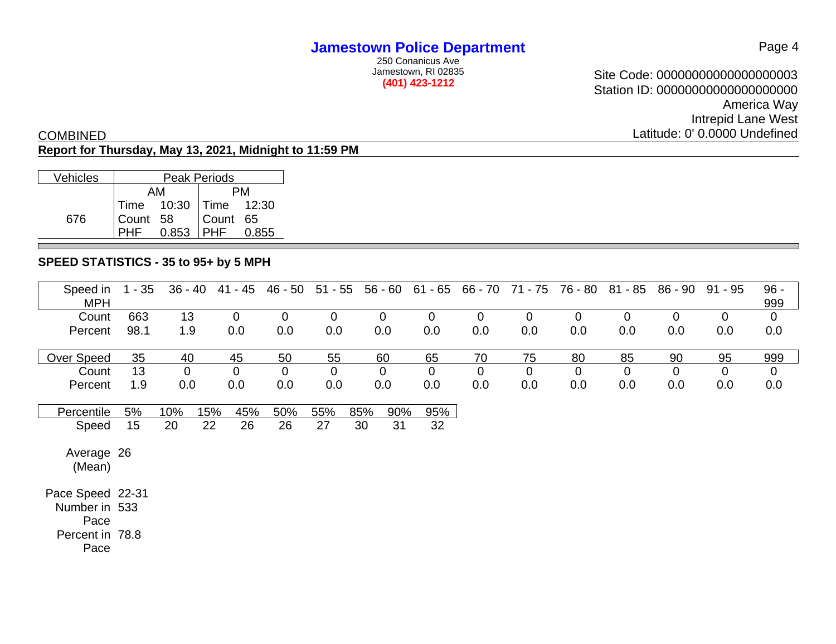250 Conanicus Ave Jamestown, RI 02835 **(401) 423-1212**

Site Code: 00000000000000000003 Station ID: 00000000000000000000 America Way Intrepid Lane West Latitude: 0' 0.0000 Undefined

#### COMBINED **Report for Thursday, May 13, 2021, Midnight to 11:59 PM**

| Vehicles | Peak Periods |                         |          |       |  |  |  |  |  |  |  |
|----------|--------------|-------------------------|----------|-------|--|--|--|--|--|--|--|
|          |              | AМ                      |          |       |  |  |  |  |  |  |  |
|          |              | Time  10:30 Time  12:30 |          |       |  |  |  |  |  |  |  |
| 676      | Count 58     |                         | Count 65 |       |  |  |  |  |  |  |  |
|          |              | 0.853                   | PHF      | 0.855 |  |  |  |  |  |  |  |

### **SPEED STATISTICS - 35 to 95+ by 5 MPH**

| Speed in<br><b>MPH</b> | $1 - 35$ | $36 - 40$   | 41 - 45        | 46 - 50        | $51 - 55$   | $56 - 60$   | $61 - 65$   | 66 - 70     | 71 - 75     | 76 - 80     | $81 - 85$   | 86 - 90     | $91 - 95$   | $96 -$<br>999 |
|------------------------|----------|-------------|----------------|----------------|-------------|-------------|-------------|-------------|-------------|-------------|-------------|-------------|-------------|---------------|
| Count                  | 663      | 13          | $\overline{0}$ | $\overline{0}$ | $\mathbf 0$ | $\mathbf 0$ | $\mathbf 0$ | $\mathbf 0$ | $\mathbf 0$ | $\mathbf 0$ | $\mathbf 0$ | $\mathbf 0$ | $\mathbf 0$ | $\mathbf 0$   |
| Percent                | 98.1     | 1.9         | 0.0            | 0.0            | 0.0         | 0.0         | 0.0         | 0.0         | 0.0         | 0.0         | 0.0         | 0.0         | 0.0         | 0.0           |
| Over Speed             | 35       | 40          | 45             | 50             | 55          | 60          | 65          | 70          | 75          | 80          | 85          | 90          | 95          | 999           |
| Count                  | 13       | $\mathbf 0$ | $\overline{0}$ | $\overline{0}$ | $\mathbf 0$ | $\mathbf 0$ | $\mathbf 0$ | $\mathbf 0$ | $\mathbf 0$ | 0           | $\mathbf 0$ | $\mathbf 0$ | $\mathbf 0$ | $\mathbf 0$   |
| Percent                | 1.9      | 0.0         | 0.0            | 0.0            | 0.0         | 0.0         | 0.0         | 0.0         | 0.0         | 0.0         | 0.0         | 0.0         | 0.0         | 0.0           |
|                        |          |             |                |                |             |             |             |             |             |             |             |             |             |               |
| Percentile             | 5%       | 10%         | 15%<br>45%     | 50%            | 55%         | 85%<br>90%  | 95%         |             |             |             |             |             |             |               |
| Speed                  | 15       | 20          | 22<br>26       | 26             | 27          | 31<br>30    | 32          |             |             |             |             |             |             |               |
| Average 26<br>(Mean)   |          |             |                |                |             |             |             |             |             |             |             |             |             |               |
| Pace Speed 22-31       |          |             |                |                |             |             |             |             |             |             |             |             |             |               |
| Number in 533          |          |             |                |                |             |             |             |             |             |             |             |             |             |               |
| Pace                   |          |             |                |                |             |             |             |             |             |             |             |             |             |               |
| Percent in 78.8        |          |             |                |                |             |             |             |             |             |             |             |             |             |               |
| Pace                   |          |             |                |                |             |             |             |             |             |             |             |             |             |               |